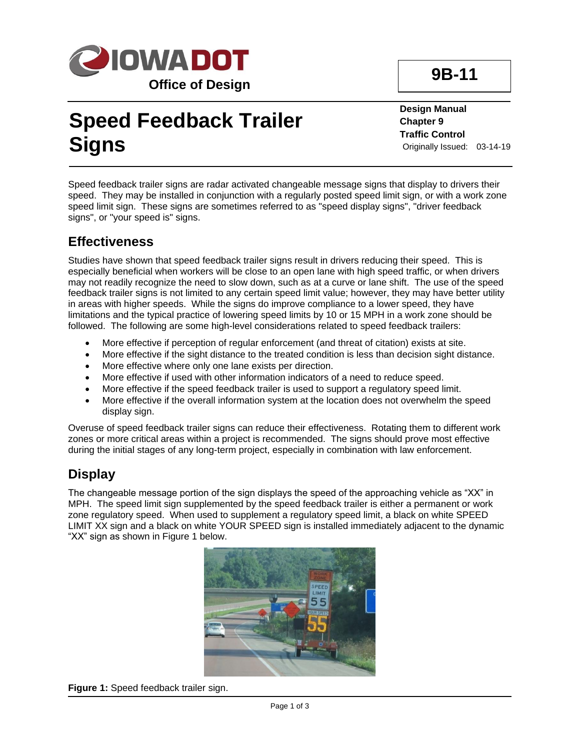

# **Speed Feedback Trailer Signs**

**Design Manual Chapter 9 Traffic Control** Originally Issued: 03-14-19

Speed feedback trailer signs are radar activated changeable message signs that display to drivers their speed. They may be installed in conjunction with a regularly posted speed limit sign, or with a work zone speed limit sign. These signs are sometimes referred to as "speed display signs", "driver feedback signs", or "your speed is" signs.

#### **Effectiveness**

Studies have shown that speed feedback trailer signs result in drivers reducing their speed. This is especially beneficial when workers will be close to an open lane with high speed traffic, or when drivers may not readily recognize the need to slow down, such as at a curve or lane shift. The use of the speed feedback trailer signs is not limited to any certain speed limit value; however, they may have better utility in areas with higher speeds. While the signs do improve compliance to a lower speed, they have limitations and the typical practice of lowering speed limits by 10 or 15 MPH in a work zone should be followed. The following are some high-level considerations related to speed feedback trailers:

- More effective if perception of regular enforcement (and threat of citation) exists at site.
- More effective if the sight distance to the treated condition is less than decision sight distance.
- More effective where only one lane exists per direction.
- More effective if used with other information indicators of a need to reduce speed.
- More effective if the speed feedback trailer is used to support a regulatory speed limit.
- More effective if the overall information system at the location does not overwhelm the speed display sign.

Overuse of speed feedback trailer signs can reduce their effectiveness. Rotating them to different work zones or more critical areas within a project is recommended. The signs should prove most effective during the initial stages of any long-term project, especially in combination with law enforcement.

### **Display**

The changeable message portion of the sign displays the speed of the approaching vehicle as "XX" in MPH. The speed limit sign supplemented by the speed feedback trailer is either a permanent or work zone regulatory speed. When used to supplement a regulatory speed limit, a black on white SPEED LIMIT XX sign and a black on white YOUR SPEED sign is installed immediately adjacent to the dynamic "XX" sign as shown in Figure 1 below.



**Figure 1:** Speed feedback trailer sign.

**9B-11**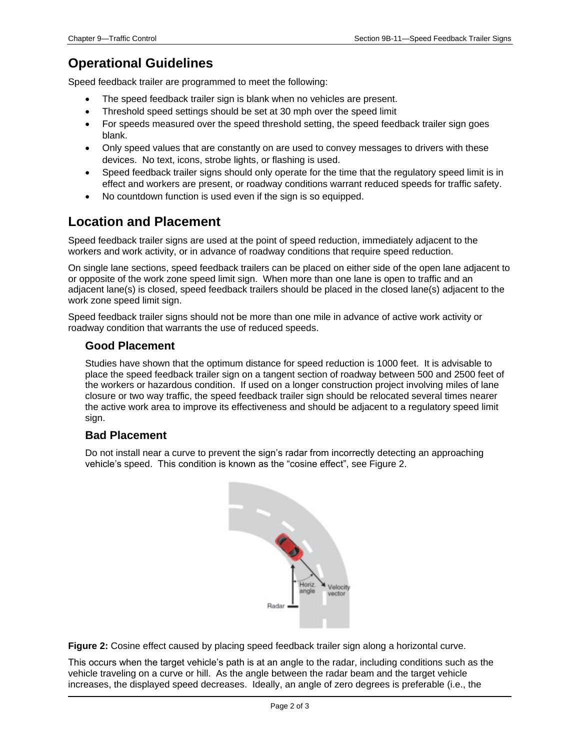## **Operational Guidelines**

Speed feedback trailer are programmed to meet the following:

- The speed feedback trailer sign is blank when no vehicles are present.
- Threshold speed settings should be set at 30 mph over the speed limit
- For speeds measured over the speed threshold setting, the speed feedback trailer sign goes blank.
- Only speed values that are constantly on are used to convey messages to drivers with these devices. No text, icons, strobe lights, or flashing is used.
- Speed feedback trailer signs should only operate for the time that the regulatory speed limit is in effect and workers are present, or roadway conditions warrant reduced speeds for traffic safety.
- No countdown function is used even if the sign is so equipped.

#### **Location and Placement**

Speed feedback trailer signs are used at the point of speed reduction, immediately adjacent to the workers and work activity, or in advance of roadway conditions that require speed reduction.

On single lane sections, speed feedback trailers can be placed on either side of the open lane adjacent to or opposite of the work zone speed limit sign. When more than one lane is open to traffic and an adjacent lane(s) is closed, speed feedback trailers should be placed in the closed lane(s) adjacent to the work zone speed limit sign.

Speed feedback trailer signs should not be more than one mile in advance of active work activity or roadway condition that warrants the use of reduced speeds.

#### **Good Placement**

Studies have shown that the optimum distance for speed reduction is 1000 feet. It is advisable to place the speed feedback trailer sign on a tangent section of roadway between 500 and 2500 feet of the workers or hazardous condition. If used on a longer construction project involving miles of lane closure or two way traffic, the speed feedback trailer sign should be relocated several times nearer the active work area to improve its effectiveness and should be adjacent to a regulatory speed limit sign.

#### **Bad Placement**

Do not install near a curve to prevent the sign's radar from incorrectly detecting an approaching vehicle's speed. This condition is known as the "cosine effect", see Figure 2.



**Figure 2:** Cosine effect caused by placing speed feedback trailer sign along a horizontal curve.

This occurs when the target vehicle's path is at an angle to the radar, including conditions such as the vehicle traveling on a curve or hill. As the angle between the radar beam and the target vehicle increases, the displayed speed decreases. Ideally, an angle of zero degrees is preferable (i.e., the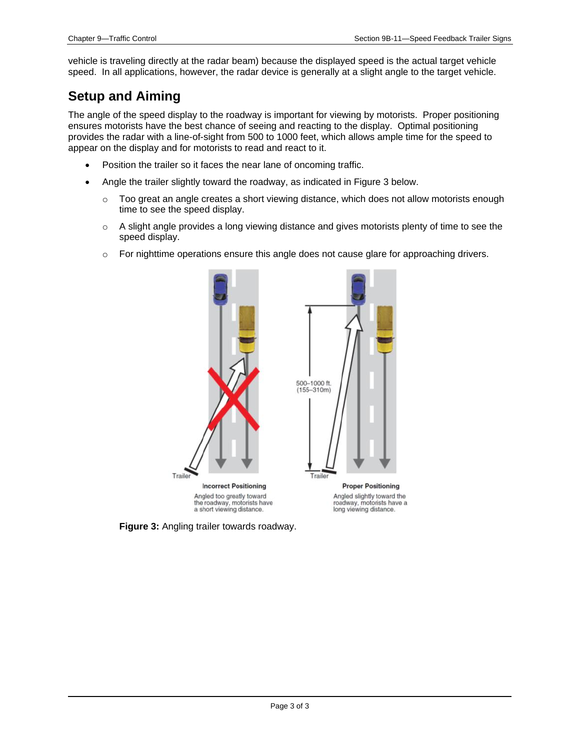vehicle is traveling directly at the radar beam) because the displayed speed is the actual target vehicle speed. In all applications, however, the radar device is generally at a slight angle to the target vehicle.

#### **Setup and Aiming**

The angle of the speed display to the roadway is important for viewing by motorists. Proper positioning ensures motorists have the best chance of seeing and reacting to the display. Optimal positioning provides the radar with a line-of-sight from 500 to 1000 feet, which allows ample time for the speed to appear on the display and for motorists to read and react to it.

- Position the trailer so it faces the near lane of oncoming traffic.
- Angle the trailer slightly toward the roadway, as indicated in Figure 3 below.
	- $\circ$  Too great an angle creates a short viewing distance, which does not allow motorists enough time to see the speed display.
	- $\circ$  A slight angle provides a long viewing distance and gives motorists plenty of time to see the speed display.
	- o For nighttime operations ensure this angle does not cause glare for approaching drivers.



**Figure 3:** Angling trailer towards roadway.